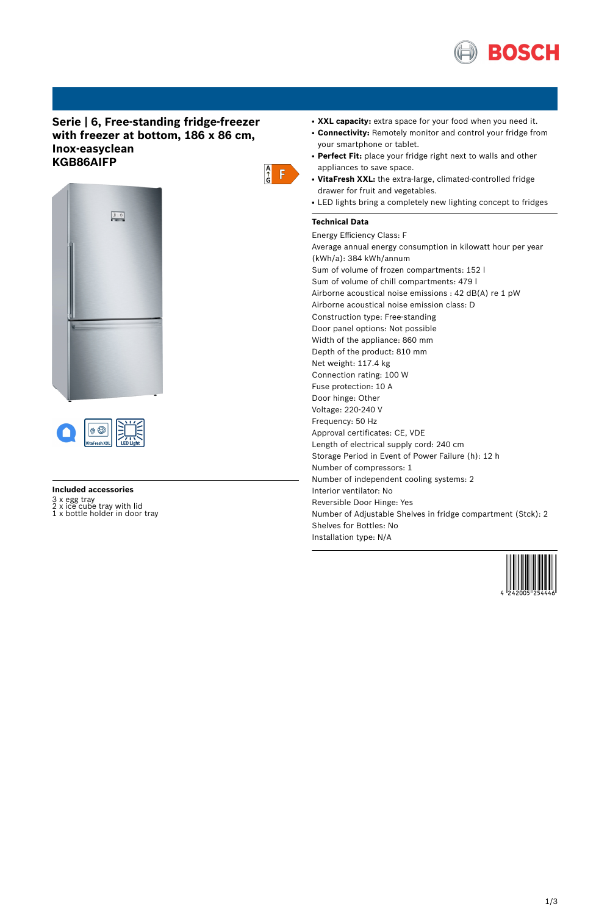

# **Serie | 6, Free-standing fridge-freezer with freezer at bottom, 186 x 86 cm, Inox-easyclean KGB86AIFP**





#### **Included accessories**

3 x egg tray 2 x ice cube tray with lid 1 x bottle holder in door tray

- XXL capacity: extra space for your food when you need it.
- Connectivity: Remotely monitor and control your fridge from your smartphone or tablet.
- Perfect Fit: place your fridge right next to walls and other appliances to save space.
- **VitaFresh XXL:** the extra-large, climated-controlled fridge drawer for fruit and vegetables.
- LED lights bring a completely new lighting concept to fridges

## **Technical Data**

 $\begin{array}{c} A \\ \uparrow \\ G \end{array}$   $\begin{array}{c} \begin{array}{c} \uparrow \\ \downarrow \end{array} \end{array}$ 

Energy Efficiency Class: F Average annual energy consumption in kilowatt hour per year (kWh/a): 384 kWh/annum Sum of volume of frozen compartments: 152 l Sum of volume of chill compartments: 479 l Airborne acoustical noise emissions : 42 dB(A) re 1 pW Airborne acoustical noise emission class: D Construction type: Free-standing Door panel options: Not possible Width of the appliance: 860 mm Depth of the product: 810 mm Net weight: 117.4 kg Connection rating: 100 W Fuse protection: 10 A Door hinge: Other Voltage: 220-240 V Frequency: 50 Hz Approval certificates: CE, VDE Length of electrical supply cord: 240 cm Storage Period in Event of Power Failure (h): 12 h Number of compressors: 1 Number of independent cooling systems: 2 Interior ventilator: No Reversible Door Hinge: Yes Number of Adjustable Shelves in fridge compartment (Stck): 2 Shelves for Bottles: No Installation type: N/A

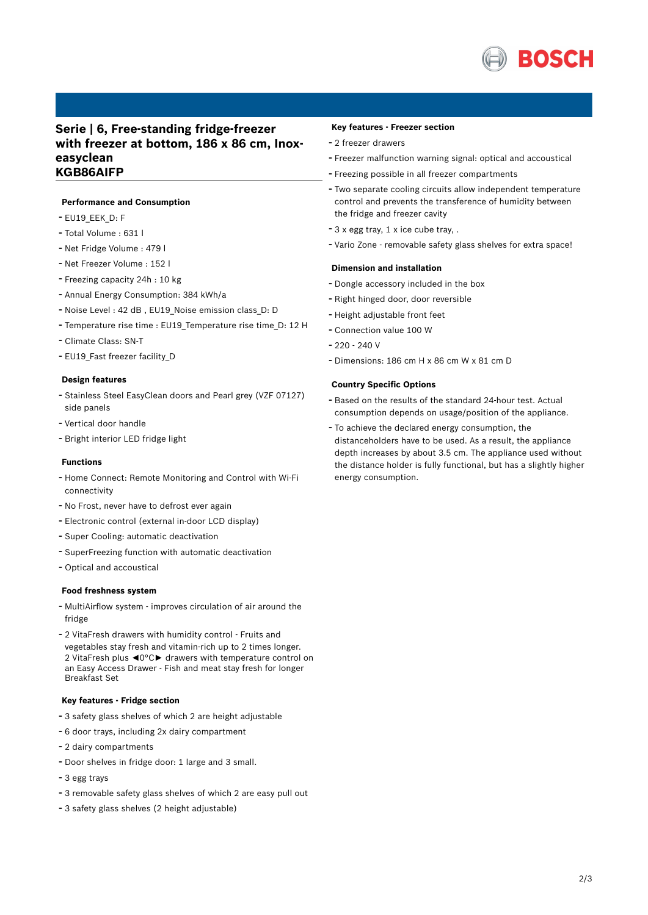

## **Serie | 6, Free-standing fridge-freezer with freezer at bottom, 186 x 86 cm, Inoxeasyclean KGB86AIFP**

#### **Performance and Consumption**

- EU19\_EEK\_D: F
- Total Volume : <sup>631</sup> <sup>l</sup>
- Net Fridge Volume : <sup>479</sup> <sup>l</sup>
- Net Freezer Volume : <sup>152</sup> <sup>l</sup>
- Freezing capacity 24h : <sup>10</sup> kg
- Annual Energy Consumption: <sup>384</sup> kWh/a
- Noise Level : <sup>42</sup> dB , EU19\_Noise emission class\_D: <sup>D</sup>
- Temperature rise time : EU19 Temperature rise time D: 12 H
- Climate Class: SN-T
- EU19 Fast freezer facility D

#### **Design features**

- Stainless Steel EasyClean doors and Pearl grey (VZF 07127) side panels
- Vertical door handle
- Bright interior LED fridge light

#### **Functions**

- Home Connect: Remote Monitoring and Control with Wi-Fi connectivity
- No Frost, never have to defrost ever again
- Electronic control (external in-door LCD display)
- Super Cooling: automatic deactivation
- SuperFreezing function with automatic deactivation
- Optical and accoustical

#### **Food freshness system**

- MultiAirflow system improves circulation of air around the fridge
- <sup>2</sup> VitaFresh drawers with humidity control Fruits and vegetables stay fresh and vitamin-rich up to 2 times longer. 2 VitaFresh plus ◄0°C► drawers with temperature control on an Easy Access Drawer - Fish and meat stay fresh for longer Breakfast Set

### **Key features - Fridge section**

- <sup>3</sup> safety glass shelves of which <sup>2</sup> are height adjustable
- <sup>6</sup> door trays, including 2x dairy compartment
- <sup>2</sup> dairy compartments
- Door shelves in fridge door: <sup>1</sup> large and <sup>3</sup> small.
- <sup>3</sup> egg trays
- <sup>3</sup> removable safety glass shelves of which <sup>2</sup> are easy pull out
- <sup>3</sup> safety glass shelves (2 height adjustable)

#### **Key features - Freezer section**

- <sup>2</sup> freezer drawers
- Freezer malfunction warning signal: optical and accoustical
- Freezing possible in all freezer compartments
- Two separate cooling circuits allow independent temperature control and prevents the transference of humidity between the fridge and freezer cavity
- <sup>3</sup> <sup>x</sup> egg tray, <sup>1</sup> <sup>x</sup> ice cube tray, .
- Vario Zone removable safety glass shelves for extra space!

## **Dimension and installation**

- Dongle accessory included in the box
- Right hinged door, door reversible
- Height adjustable front feet
- Connection value <sup>100</sup> <sup>W</sup>
- 220 240 V
- Dimensions: 186 cm H x 86 cm W x 81 cm D

## **Country Specific Options**

- Based on the results of the standard 24-hour test. Actual consumption depends on usage/position of the appliance.
- To achieve the declared energy consumption, the distanceholders have to be used. As a result, the appliance depth increases by about 3.5 cm. The appliance used without the distance holder is fully functional, but has a slightly higher energy consumption.